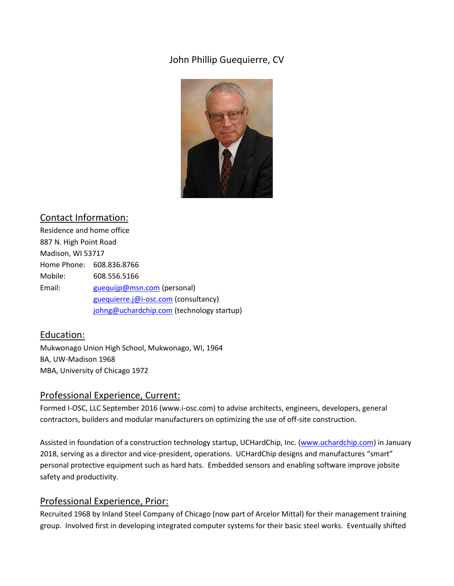# John Phillip Guequierre, CV



## Contact Information:

Residence and home office 887 N. High Point Road Madison, WI 53717 Home Phone: 608.836.8766 Mobile: 608.556.5166 Email: [guequijp@msn.com](mailto:guequijp@msn.com) (personal) [guequierre.j@i-osc.com](mailto:guequierre.j@i-osc.com) (consultancy) [johng@uchardchip.com](mailto:johng@uchardchip.com) (technology startup)

## Education:

Mukwonago Union High School, Mukwonago, WI, 1964 BA, UW-Madison 1968 MBA, University of Chicago 1972

### Professional Experience, Current:

Formed I-OSC, LLC September 2016 (www.i-osc.com) to advise architects, engineers, developers, general contractors, builders and modular manufacturers on optimizing the use of off-site construction.

Assisted in foundation of a construction technology startup, UCHardChip, Inc. [\(www.uchardchip.com\)](http://www.uchardchip.com/) in January 2018, serving as a director and vice-president, operations. UCHardChip designs and manufactures "smart" personal protective equipment such as hard hats. Embedded sensors and enabling software improve jobsite safety and productivity.

### Professional Experience, Prior:

Recruited 1968 by Inland Steel Company of Chicago (now part of Arcelor Mittal) for their management training group. Involved first in developing integrated computer systems for their basic steel works. Eventually shifted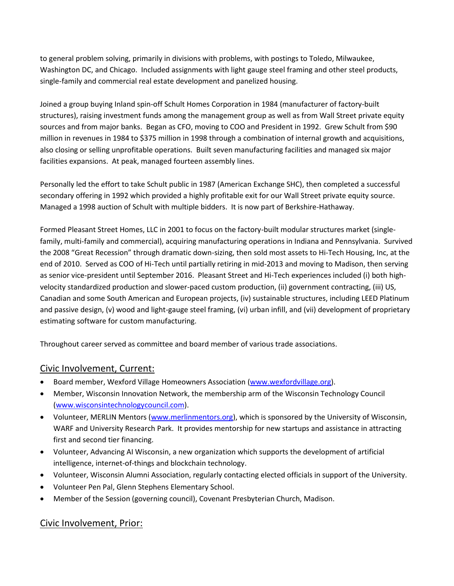to general problem solving, primarily in divisions with problems, with postings to Toledo, Milwaukee, Washington DC, and Chicago. Included assignments with light gauge steel framing and other steel products, single-family and commercial real estate development and panelized housing.

Joined a group buying Inland spin-off Schult Homes Corporation in 1984 (manufacturer of factory-built structures), raising investment funds among the management group as well as from Wall Street private equity sources and from major banks. Began as CFO, moving to COO and President in 1992. Grew Schult from \$90 million in revenues in 1984 to \$375 million in 1998 through a combination of internal growth and acquisitions, also closing or selling unprofitable operations. Built seven manufacturing facilities and managed six major facilities expansions. At peak, managed fourteen assembly lines.

Personally led the effort to take Schult public in 1987 (American Exchange SHC), then completed a successful secondary offering in 1992 which provided a highly profitable exit for our Wall Street private equity source. Managed a 1998 auction of Schult with multiple bidders. It is now part of Berkshire-Hathaway.

Formed Pleasant Street Homes, LLC in 2001 to focus on the factory-built modular structures market (singlefamily, multi-family and commercial), acquiring manufacturing operations in Indiana and Pennsylvania. Survived the 2008 "Great Recession" through dramatic down-sizing, then sold most assets to Hi-Tech Housing, Inc, at the end of 2010. Served as COO of Hi-Tech until partially retiring in mid-2013 and moving to Madison, then serving as senior vice-president until September 2016. Pleasant Street and Hi-Tech experiences included (i) both highvelocity standardized production and slower-paced custom production, (ii) government contracting, (iii) US, Canadian and some South American and European projects, (iv) sustainable structures, including LEED Platinum and passive design, (v) wood and light-gauge steel framing, (vi) urban infill, and (vii) development of proprietary estimating software for custom manufacturing.

Throughout career served as committee and board member of various trade associations.

## Civic Involvement, Current:

- Board member, Wexford Village Homeowners Association [\(www.wexfordvillage.org\)](http://www.wexfordvillage.org/).
- Member, Wisconsin Innovation Network, the membership arm of the Wisconsin Technology Council [\(www.wisconsintechnologycouncil.com\)](http://www.wisconsintechnologycouncil.com/).
- Volunteer, MERLIN Mentors [\(www.merlinmentors.org\)](http://www.merlinmentors.org/), which is sponsored by the University of Wisconsin, WARF and University Research Park. It provides mentorship for new startups and assistance in attracting first and second tier financing.
- Volunteer, Advancing AI Wisconsin, a new organization which supports the development of artificial intelligence, internet-of-things and blockchain technology.
- Volunteer, Wisconsin Alumni Association, regularly contacting elected officials in support of the University.
- Volunteer Pen Pal, Glenn Stephens Elementary School.
- Member of the Session (governing council), Covenant Presbyterian Church, Madison.

### Civic Involvement, Prior: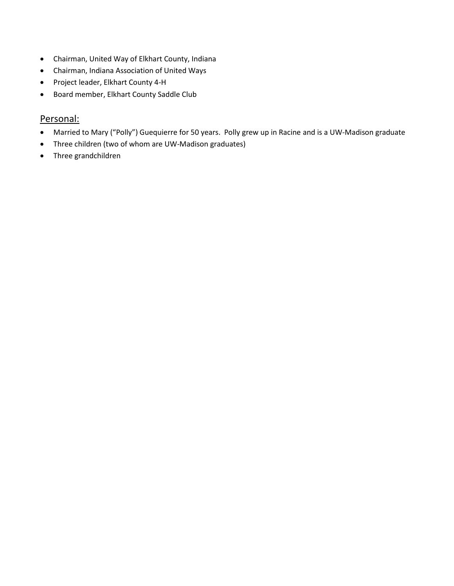- Chairman, United Way of Elkhart County, Indiana
- Chairman, Indiana Association of United Ways
- Project leader, Elkhart County 4-H
- Board member, Elkhart County Saddle Club

### Personal:

- Married to Mary ("Polly") Guequierre for 50 years. Polly grew up in Racine and is a UW-Madison graduate
- Three children (two of whom are UW-Madison graduates)
- Three grandchildren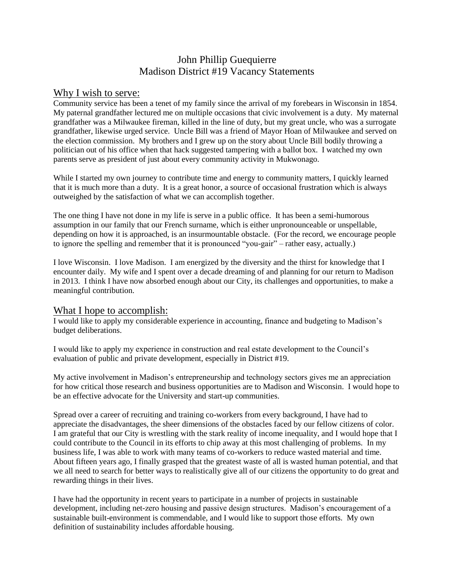## John Phillip Guequierre Madison District #19 Vacancy Statements

#### Why I wish to serve:

Community service has been a tenet of my family since the arrival of my forebears in Wisconsin in 1854. My paternal grandfather lectured me on multiple occasions that civic involvement is a duty. My maternal grandfather was a Milwaukee fireman, killed in the line of duty, but my great uncle, who was a surrogate grandfather, likewise urged service. Uncle Bill was a friend of Mayor Hoan of Milwaukee and served on the election commission. My brothers and I grew up on the story about Uncle Bill bodily throwing a politician out of his office when that hack suggested tampering with a ballot box. I watched my own parents serve as president of just about every community activity in Mukwonago.

While I started my own journey to contribute time and energy to community matters, I quickly learned that it is much more than a duty. It is a great honor, a source of occasional frustration which is always outweighed by the satisfaction of what we can accomplish together.

The one thing I have not done in my life is serve in a public office. It has been a semi-humorous assumption in our family that our French surname, which is either unpronounceable or unspellable, depending on how it is approached, is an insurmountable obstacle. (For the record, we encourage people to ignore the spelling and remember that it is pronounced "you-gair" – rather easy, actually.)

I love Wisconsin. I love Madison. I am energized by the diversity and the thirst for knowledge that I encounter daily. My wife and I spent over a decade dreaming of and planning for our return to Madison in 2013. I think I have now absorbed enough about our City, its challenges and opportunities, to make a meaningful contribution.

#### What I hope to accomplish:

I would like to apply my considerable experience in accounting, finance and budgeting to Madison's budget deliberations.

I would like to apply my experience in construction and real estate development to the Council's evaluation of public and private development, especially in District #19.

My active involvement in Madison's entrepreneurship and technology sectors gives me an appreciation for how critical those research and business opportunities are to Madison and Wisconsin. I would hope to be an effective advocate for the University and start-up communities.

Spread over a career of recruiting and training co-workers from every background, I have had to appreciate the disadvantages, the sheer dimensions of the obstacles faced by our fellow citizens of color. I am grateful that our City is wrestling with the stark reality of income inequality, and I would hope that I could contribute to the Council in its efforts to chip away at this most challenging of problems. In my business life, I was able to work with many teams of co-workers to reduce wasted material and time. About fifteen years ago, I finally grasped that the greatest waste of all is wasted human potential, and that we all need to search for better ways to realistically give all of our citizens the opportunity to do great and rewarding things in their lives.

I have had the opportunity in recent years to participate in a number of projects in sustainable development, including net-zero housing and passive design structures. Madison's encouragement of a sustainable built-environment is commendable, and I would like to support those efforts. My own definition of sustainability includes affordable housing.